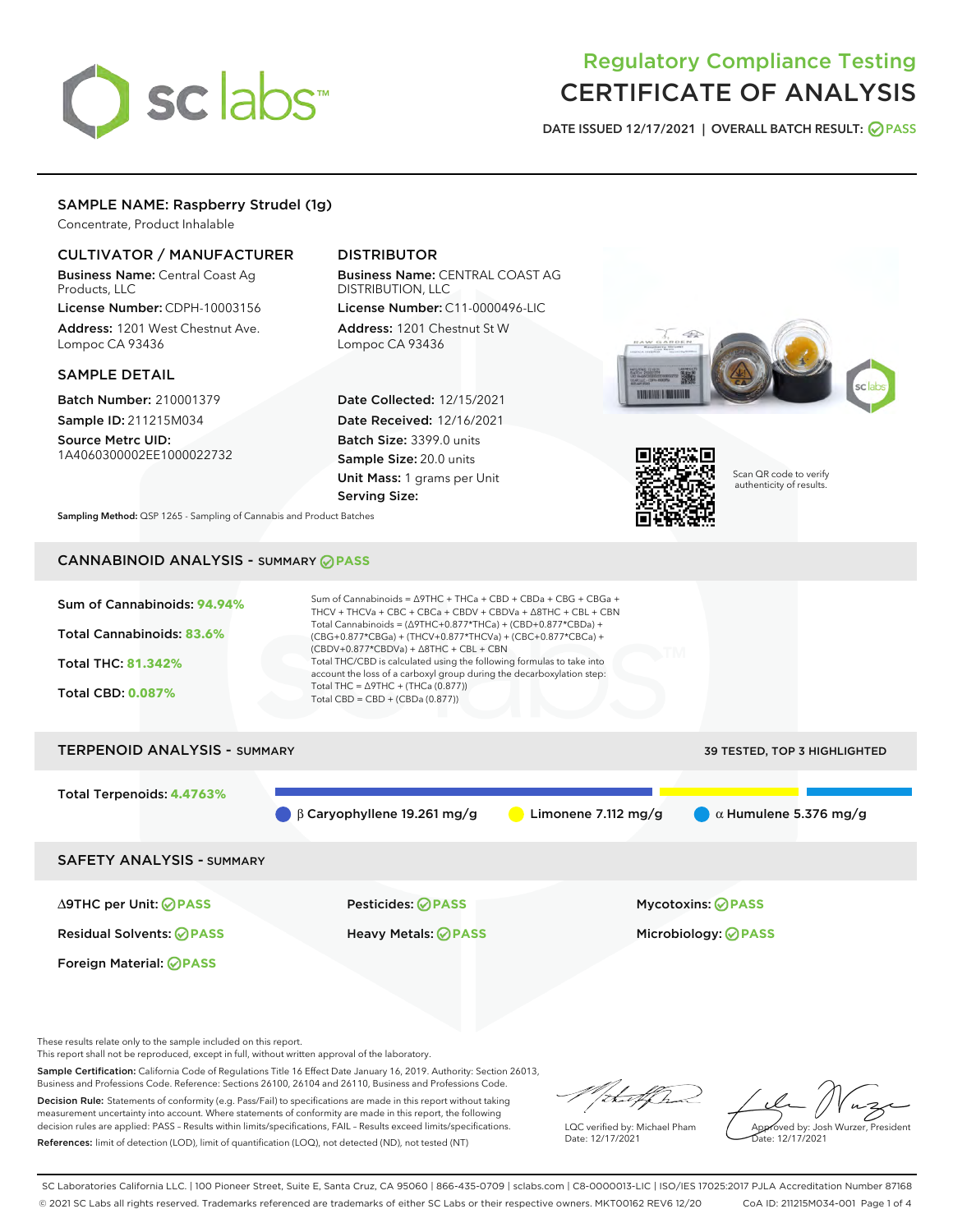# sclabs<sup>\*</sup>

# Regulatory Compliance Testing CERTIFICATE OF ANALYSIS

DATE ISSUED 12/17/2021 | OVERALL BATCH RESULT: @ PASS

# SAMPLE NAME: Raspberry Strudel (1g)

Concentrate, Product Inhalable

# CULTIVATOR / MANUFACTURER

Business Name: Central Coast Ag Products, LLC

License Number: CDPH-10003156 Address: 1201 West Chestnut Ave. Lompoc CA 93436

# SAMPLE DETAIL

Batch Number: 210001379 Sample ID: 211215M034

Source Metrc UID: 1A4060300002EE1000022732

# DISTRIBUTOR

Business Name: CENTRAL COAST AG DISTRIBUTION, LLC License Number: C11-0000496-LIC

Address: 1201 Chestnut St W Lompoc CA 93436

Date Collected: 12/15/2021 Date Received: 12/16/2021 Batch Size: 3399.0 units Sample Size: 20.0 units Unit Mass: 1 grams per Unit Serving Size:





Scan QR code to verify authenticity of results.

Sampling Method: QSP 1265 - Sampling of Cannabis and Product Batches

# CANNABINOID ANALYSIS - SUMMARY **PASS**



Foreign Material: **PASS**

Residual Solvents: **PASS** Heavy Metals: **PASS** Microbiology: **PASS**

∆9THC per Unit: **PASS** Pesticides: **PASS** Mycotoxins: **PASS**

These results relate only to the sample included on this report.

This report shall not be reproduced, except in full, without written approval of the laboratory.

Sample Certification: California Code of Regulations Title 16 Effect Date January 16, 2019. Authority: Section 26013, Business and Professions Code. Reference: Sections 26100, 26104 and 26110, Business and Professions Code.

Decision Rule: Statements of conformity (e.g. Pass/Fail) to specifications are made in this report without taking measurement uncertainty into account. Where statements of conformity are made in this report, the following decision rules are applied: PASS – Results within limits/specifications, FAIL – Results exceed limits/specifications. References: limit of detection (LOD), limit of quantification (LOQ), not detected (ND), not tested (NT)

that f(ha

LQC verified by: Michael Pham Date: 12/17/2021

Approved by: Josh Wurzer, President ate: 12/17/2021

SC Laboratories California LLC. | 100 Pioneer Street, Suite E, Santa Cruz, CA 95060 | 866-435-0709 | sclabs.com | C8-0000013-LIC | ISO/IES 17025:2017 PJLA Accreditation Number 87168 © 2021 SC Labs all rights reserved. Trademarks referenced are trademarks of either SC Labs or their respective owners. MKT00162 REV6 12/20 CoA ID: 211215M034-001 Page 1 of 4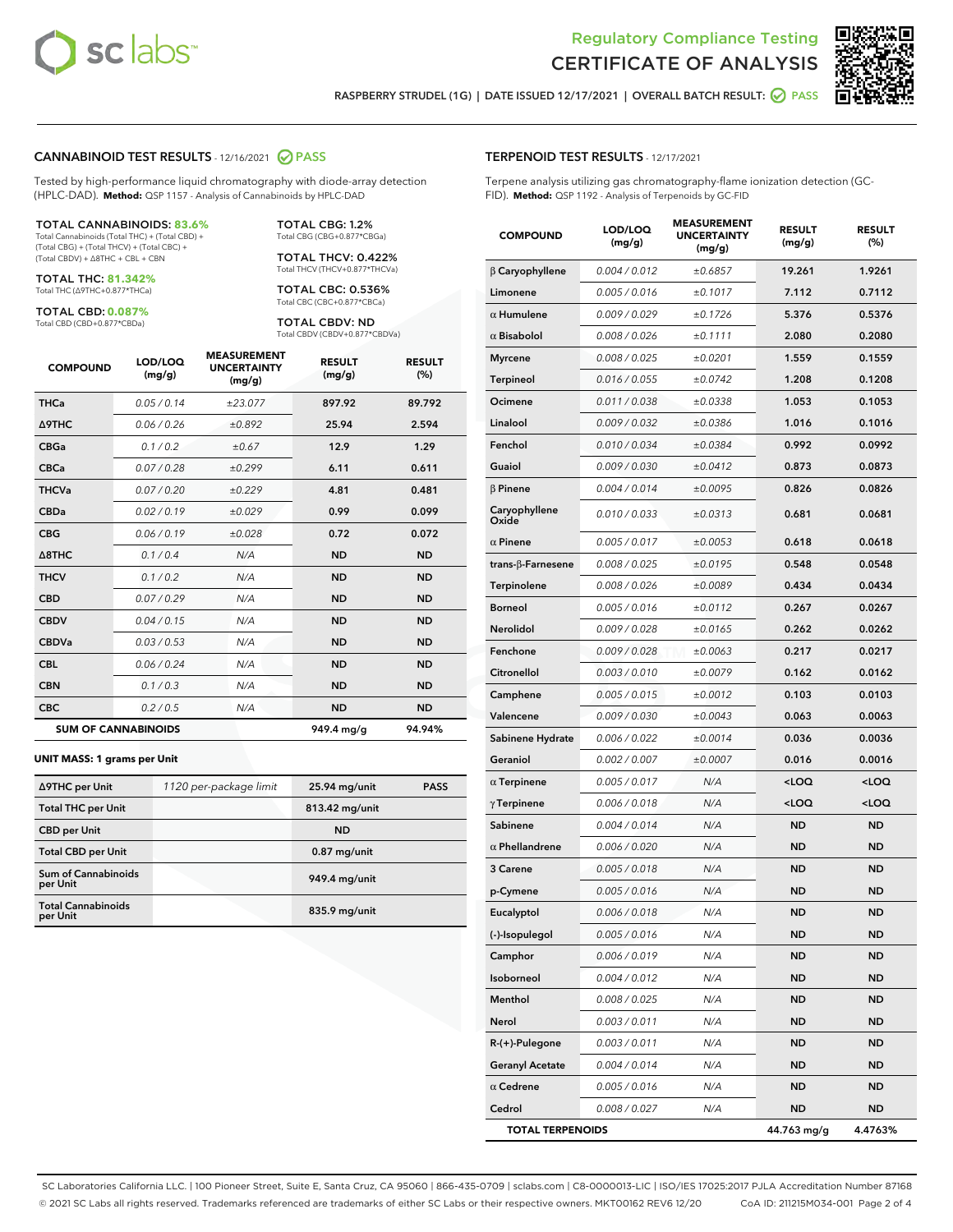



RASPBERRY STRUDEL (1G) | DATE ISSUED 12/17/2021 | OVERALL BATCH RESULT: @ PASS

#### CANNABINOID TEST RESULTS - 12/16/2021 2 PASS

Tested by high-performance liquid chromatography with diode-array detection (HPLC-DAD). **Method:** QSP 1157 - Analysis of Cannabinoids by HPLC-DAD

#### TOTAL CANNABINOIDS: **83.6%**

Total Cannabinoids (Total THC) + (Total CBD) + (Total CBG) + (Total THCV) + (Total CBC) + (Total CBDV) + ∆8THC + CBL + CBN

TOTAL THC: **81.342%** Total THC (∆9THC+0.877\*THCa)

TOTAL CBD: **0.087%**

Total CBD (CBD+0.877\*CBDa)

TOTAL CBG: 1.2% Total CBG (CBG+0.877\*CBGa)

TOTAL THCV: 0.422% Total THCV (THCV+0.877\*THCVa)

TOTAL CBC: 0.536% Total CBC (CBC+0.877\*CBCa)

TOTAL CBDV: ND Total CBDV (CBDV+0.877\*CBDVa)

| <b>COMPOUND</b>            | LOD/LOQ<br>(mg/g) | <b>MEASUREMENT</b><br><b>UNCERTAINTY</b><br>(mg/g) | <b>RESULT</b><br>(mg/g) | <b>RESULT</b><br>(%) |
|----------------------------|-------------------|----------------------------------------------------|-------------------------|----------------------|
| <b>THCa</b>                | 0.05/0.14         | ±23.077                                            | 897.92                  | 89.792               |
| <b>A9THC</b>               | 0.06 / 0.26       | ±0.892                                             | 25.94                   | 2.594                |
| <b>CBGa</b>                | 0.1/0.2           | ±0.67                                              | 12.9                    | 1.29                 |
| <b>CBCa</b>                | 0.07/0.28         | ±0.299                                             | 6.11                    | 0.611                |
| <b>THCVa</b>               | 0.07 / 0.20       | ±0.229                                             | 4.81                    | 0.481                |
| <b>CBDa</b>                | 0.02/0.19         | ±0.029                                             | 0.99                    | 0.099                |
| <b>CBG</b>                 | 0.06/0.19         | ±0.028                                             | 0.72                    | 0.072                |
| $\triangle$ 8THC           | 0.1 / 0.4         | N/A                                                | <b>ND</b>               | <b>ND</b>            |
| <b>THCV</b>                | 0.1/0.2           | N/A                                                | <b>ND</b>               | <b>ND</b>            |
| <b>CBD</b>                 | 0.07/0.29         | N/A                                                | <b>ND</b>               | <b>ND</b>            |
| <b>CBDV</b>                | 0.04 / 0.15       | N/A                                                | <b>ND</b>               | <b>ND</b>            |
| <b>CBDVa</b>               | 0.03/0.53         | N/A                                                | <b>ND</b>               | <b>ND</b>            |
| <b>CBL</b>                 | 0.06 / 0.24       | N/A                                                | <b>ND</b>               | <b>ND</b>            |
| <b>CBN</b>                 | 0.1/0.3           | N/A                                                | <b>ND</b>               | <b>ND</b>            |
| <b>CBC</b>                 | 0.2 / 0.5         | N/A                                                | <b>ND</b>               | <b>ND</b>            |
| <b>SUM OF CANNABINOIDS</b> |                   |                                                    | 949.4 mg/g              | 94.94%               |

#### **UNIT MASS: 1 grams per Unit**

| ∆9THC per Unit                        | 1120 per-package limit | 25.94 mg/unit  | <b>PASS</b> |
|---------------------------------------|------------------------|----------------|-------------|
| <b>Total THC per Unit</b>             |                        | 813.42 mg/unit |             |
| <b>CBD</b> per Unit                   |                        | <b>ND</b>      |             |
| <b>Total CBD per Unit</b>             |                        | $0.87$ mg/unit |             |
| Sum of Cannabinoids<br>per Unit       |                        | 949.4 mg/unit  |             |
| <b>Total Cannabinoids</b><br>per Unit |                        | 835.9 mg/unit  |             |

#### TERPENOID TEST RESULTS - 12/17/2021

Terpene analysis utilizing gas chromatography-flame ionization detection (GC-FID). **Method:** QSP 1192 - Analysis of Terpenoids by GC-FID

| <b>COMPOUND</b>          | LOD/LOQ<br>(mg/g) | <b>MEASUREMENT</b><br><b>UNCERTAINTY</b><br>(mg/g) | <b>RESULT</b><br>(mg/g)                         | <b>RESULT</b><br>(%) |
|--------------------------|-------------------|----------------------------------------------------|-------------------------------------------------|----------------------|
| $\beta$ Caryophyllene    | 0.004 / 0.012     | ±0.6857                                            | 19.261                                          | 1.9261               |
| Limonene                 | 0.005 / 0.016     | ±0.1017                                            | 7.112                                           | 0.7112               |
| $\alpha$ Humulene        | 0.009 / 0.029     | ±0.1726                                            | 5.376                                           | 0.5376               |
| $\alpha$ Bisabolol       | 0.008 / 0.026     | ±0.1111                                            | 2.080                                           | 0.2080               |
| <b>Myrcene</b>           | 0.008 / 0.025     | ±0.0201                                            | 1.559                                           | 0.1559               |
| <b>Terpineol</b>         | 0.016 / 0.055     | ±0.0742                                            | 1.208                                           | 0.1208               |
| Ocimene                  | 0.011 / 0.038     | ±0.0338                                            | 1.053                                           | 0.1053               |
| Linalool                 | 0.009 / 0.032     | ±0.0386                                            | 1.016                                           | 0.1016               |
| Fenchol                  | 0.010 / 0.034     | ±0.0384                                            | 0.992                                           | 0.0992               |
| Guaiol                   | 0.009 / 0.030     | ±0.0412                                            | 0.873                                           | 0.0873               |
| $\beta$ Pinene           | 0.004 / 0.014     | ±0.0095                                            | 0.826                                           | 0.0826               |
| Caryophyllene<br>Oxide   | 0.010 / 0.033     | ±0.0313                                            | 0.681                                           | 0.0681               |
| $\alpha$ Pinene          | 0.005 / 0.017     | ±0.0053                                            | 0.618                                           | 0.0618               |
| $trans-\beta$ -Farnesene | 0.008 / 0.025     | ±0.0195                                            | 0.548                                           | 0.0548               |
| Terpinolene              | 0.008 / 0.026     | ±0.0089                                            | 0.434                                           | 0.0434               |
| <b>Borneol</b>           | 0.005 / 0.016     | ±0.0112                                            | 0.267                                           | 0.0267               |
| Nerolidol                | 0.009 / 0.028     | ±0.0165                                            | 0.262                                           | 0.0262               |
| Fenchone                 | 0.009 / 0.028     | ±0.0063                                            | 0.217                                           | 0.0217               |
| Citronellol              | 0.003 / 0.010     | ±0.0079                                            | 0.162                                           | 0.0162               |
| Camphene                 | 0.005 / 0.015     | ±0.0012                                            | 0.103                                           | 0.0103               |
| Valencene                | 0.009 / 0.030     | ±0.0043                                            | 0.063                                           | 0.0063               |
| Sabinene Hydrate         | 0.006 / 0.022     | ±0.0014                                            | 0.036                                           | 0.0036               |
| Geraniol                 | 0.002 / 0.007     | ±0.0007                                            | 0.016                                           | 0.0016               |
| $\alpha$ Terpinene       | 0.005 / 0.017     | N/A                                                | <loq< th=""><th><loq< th=""></loq<></th></loq<> | <loq< th=""></loq<>  |
| $\gamma$ Terpinene       | 0.006 / 0.018     | N/A                                                | <loq< th=""><th><loq< th=""></loq<></th></loq<> | <loq< th=""></loq<>  |
| Sabinene                 | 0.004 / 0.014     | N/A                                                | ND                                              | <b>ND</b>            |
| $\alpha$ Phellandrene    | 0.006 / 0.020     | N/A                                                | <b>ND</b>                                       | <b>ND</b>            |
| 3 Carene                 | 0.005 / 0.018     | N/A                                                | ND                                              | <b>ND</b>            |
| p-Cymene                 | 0.005 / 0.016     | N/A                                                | ND                                              | ND                   |
| Eucalyptol               | 0.006 / 0.018     | N/A                                                | ND                                              | <b>ND</b>            |
| (-)-Isopulegol           | 0.005 / 0.016     | N/A                                                | ND                                              | ND                   |
| Camphor                  | 0.006 / 0.019     | N/A                                                | <b>ND</b>                                       | <b>ND</b>            |
| Isoborneol               | 0.004 / 0.012     | N/A                                                | <b>ND</b>                                       | <b>ND</b>            |
| Menthol                  | 0.008 / 0.025     | N/A                                                | ND                                              | <b>ND</b>            |
| Nerol                    | 0.003 / 0.011     | N/A                                                | ND                                              | ND                   |
| R-(+)-Pulegone           | 0.003 / 0.011     | N/A                                                | <b>ND</b>                                       | ND                   |
| <b>Geranyl Acetate</b>   | 0.004 / 0.014     | N/A                                                | ND                                              | <b>ND</b>            |
| $\alpha$ Cedrene         | 0.005 / 0.016     | N/A                                                | <b>ND</b>                                       | ND                   |
| Cedrol                   | 0.008 / 0.027     | N/A                                                | <b>ND</b>                                       | ND                   |
| <b>TOTAL TERPENOIDS</b>  |                   |                                                    | 44.763 mg/g                                     | 4.4763%              |

SC Laboratories California LLC. | 100 Pioneer Street, Suite E, Santa Cruz, CA 95060 | 866-435-0709 | sclabs.com | C8-0000013-LIC | ISO/IES 17025:2017 PJLA Accreditation Number 87168 © 2021 SC Labs all rights reserved. Trademarks referenced are trademarks of either SC Labs or their respective owners. MKT00162 REV6 12/20 CoA ID: 211215M034-001 Page 2 of 4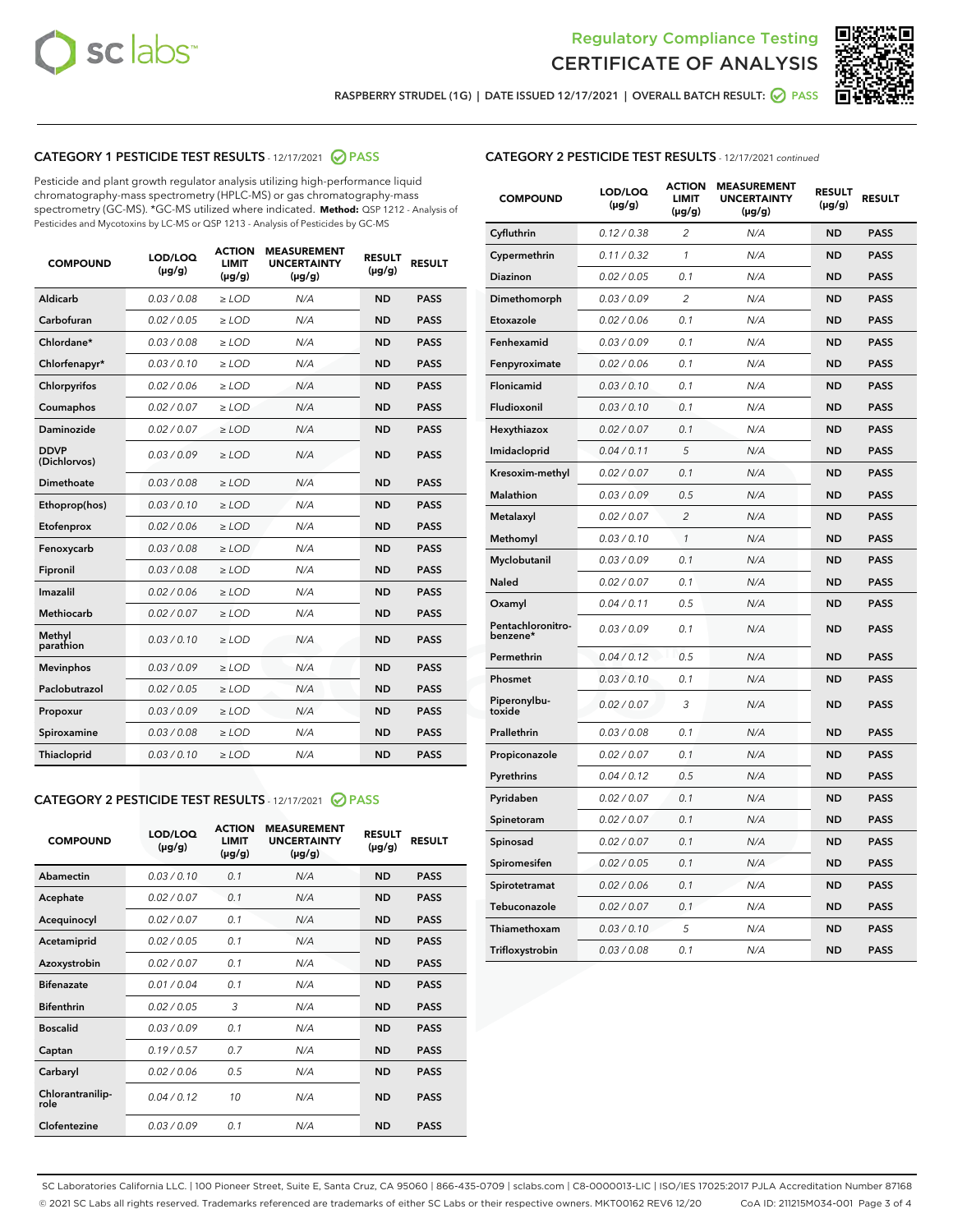



RASPBERRY STRUDEL (1G) | DATE ISSUED 12/17/2021 | OVERALL BATCH RESULT: @ PASS

# CATEGORY 1 PESTICIDE TEST RESULTS - 12/17/2021 @ PASS

Pesticide and plant growth regulator analysis utilizing high-performance liquid chromatography-mass spectrometry (HPLC-MS) or gas chromatography-mass spectrometry (GC-MS). \*GC-MS utilized where indicated. **Method:** QSP 1212 - Analysis of Pesticides and Mycotoxins by LC-MS or QSP 1213 - Analysis of Pesticides by GC-MS

| Aldicarb<br>0.03 / 0.08<br>$\geq$ LOD<br>N/A<br><b>ND</b><br><b>PASS</b><br>Carbofuran<br>0.02/0.05<br>$>$ LOD<br>N/A<br><b>ND</b><br><b>PASS</b><br>Chlordane*<br>0.03 / 0.08<br>$\ge$ LOD<br>N/A<br><b>ND</b><br><b>PASS</b><br>0.03/0.10<br><b>PASS</b><br>Chlorfenapyr*<br>$>$ LOD<br>N/A<br><b>ND</b><br>Chlorpyrifos<br>0.02 / 0.06<br>$>$ LOD<br>N/A<br><b>ND</b><br><b>PASS</b><br>N/A<br><b>PASS</b><br>Coumaphos<br>0.02 / 0.07<br>$\ge$ LOD<br><b>ND</b><br>Daminozide<br>0.02/0.07<br>N/A<br><b>ND</b><br><b>PASS</b><br>$>$ LOD<br><b>DDVP</b><br>0.03/0.09<br>$\ge$ LOD<br>N/A<br><b>ND</b><br><b>PASS</b><br>(Dichlorvos)<br><b>Dimethoate</b><br>0.03 / 0.08<br>$\ge$ LOD<br>N/A<br><b>ND</b><br><b>PASS</b><br>0.03/0.10<br>N/A<br><b>ND</b><br><b>PASS</b><br>Ethoprop(hos)<br>$\ge$ LOD<br>0.02 / 0.06<br>N/A<br><b>ND</b><br><b>PASS</b><br>Etofenprox<br>$\ge$ LOD<br><b>PASS</b><br>Fenoxycarb<br>0.03/0.08<br>N/A<br><b>ND</b><br>$\ge$ LOD<br>0.03/0.08<br>$>$ LOD<br>N/A<br><b>ND</b><br><b>PASS</b><br>Fipronil<br>Imazalil<br>0.02 / 0.06<br>N/A<br><b>ND</b><br><b>PASS</b><br>$\ge$ LOD<br>Methiocarb<br>0.02 / 0.07<br>$>$ LOD<br>N/A<br><b>ND</b><br><b>PASS</b><br>Methyl<br><b>ND</b><br>0.03/0.10<br>$\ge$ LOD<br>N/A<br><b>PASS</b><br>parathion<br>0.03/0.09<br>N/A<br><b>ND</b><br><b>PASS</b><br><b>Mevinphos</b><br>$\ge$ LOD<br>Paclobutrazol<br>0.02 / 0.05<br>$\ge$ LOD<br>N/A<br><b>ND</b><br><b>PASS</b><br>0.03/0.09<br>$\ge$ LOD<br>N/A<br><b>ND</b><br><b>PASS</b><br>Propoxur<br>Spiroxamine<br>0.03 / 0.08<br>$\ge$ LOD<br>N/A<br><b>ND</b><br><b>PASS</b><br>0.03/0.10<br>$\ge$ LOD<br>N/A<br><b>ND</b><br><b>PASS</b><br><b>Thiacloprid</b> | <b>COMPOUND</b> | LOD/LOQ<br>$(\mu g/g)$ | <b>ACTION</b><br><b>LIMIT</b><br>$(\mu g/g)$ | <b>MEASUREMENT</b><br><b>UNCERTAINTY</b><br>$(\mu g/g)$ | <b>RESULT</b><br>$(\mu g/g)$ | <b>RESULT</b> |
|------------------------------------------------------------------------------------------------------------------------------------------------------------------------------------------------------------------------------------------------------------------------------------------------------------------------------------------------------------------------------------------------------------------------------------------------------------------------------------------------------------------------------------------------------------------------------------------------------------------------------------------------------------------------------------------------------------------------------------------------------------------------------------------------------------------------------------------------------------------------------------------------------------------------------------------------------------------------------------------------------------------------------------------------------------------------------------------------------------------------------------------------------------------------------------------------------------------------------------------------------------------------------------------------------------------------------------------------------------------------------------------------------------------------------------------------------------------------------------------------------------------------------------------------------------------------------------------------------------------------------------------------------------------------------------------------|-----------------|------------------------|----------------------------------------------|---------------------------------------------------------|------------------------------|---------------|
|                                                                                                                                                                                                                                                                                                                                                                                                                                                                                                                                                                                                                                                                                                                                                                                                                                                                                                                                                                                                                                                                                                                                                                                                                                                                                                                                                                                                                                                                                                                                                                                                                                                                                                |                 |                        |                                              |                                                         |                              |               |
|                                                                                                                                                                                                                                                                                                                                                                                                                                                                                                                                                                                                                                                                                                                                                                                                                                                                                                                                                                                                                                                                                                                                                                                                                                                                                                                                                                                                                                                                                                                                                                                                                                                                                                |                 |                        |                                              |                                                         |                              |               |
|                                                                                                                                                                                                                                                                                                                                                                                                                                                                                                                                                                                                                                                                                                                                                                                                                                                                                                                                                                                                                                                                                                                                                                                                                                                                                                                                                                                                                                                                                                                                                                                                                                                                                                |                 |                        |                                              |                                                         |                              |               |
|                                                                                                                                                                                                                                                                                                                                                                                                                                                                                                                                                                                                                                                                                                                                                                                                                                                                                                                                                                                                                                                                                                                                                                                                                                                                                                                                                                                                                                                                                                                                                                                                                                                                                                |                 |                        |                                              |                                                         |                              |               |
|                                                                                                                                                                                                                                                                                                                                                                                                                                                                                                                                                                                                                                                                                                                                                                                                                                                                                                                                                                                                                                                                                                                                                                                                                                                                                                                                                                                                                                                                                                                                                                                                                                                                                                |                 |                        |                                              |                                                         |                              |               |
|                                                                                                                                                                                                                                                                                                                                                                                                                                                                                                                                                                                                                                                                                                                                                                                                                                                                                                                                                                                                                                                                                                                                                                                                                                                                                                                                                                                                                                                                                                                                                                                                                                                                                                |                 |                        |                                              |                                                         |                              |               |
|                                                                                                                                                                                                                                                                                                                                                                                                                                                                                                                                                                                                                                                                                                                                                                                                                                                                                                                                                                                                                                                                                                                                                                                                                                                                                                                                                                                                                                                                                                                                                                                                                                                                                                |                 |                        |                                              |                                                         |                              |               |
|                                                                                                                                                                                                                                                                                                                                                                                                                                                                                                                                                                                                                                                                                                                                                                                                                                                                                                                                                                                                                                                                                                                                                                                                                                                                                                                                                                                                                                                                                                                                                                                                                                                                                                |                 |                        |                                              |                                                         |                              |               |
|                                                                                                                                                                                                                                                                                                                                                                                                                                                                                                                                                                                                                                                                                                                                                                                                                                                                                                                                                                                                                                                                                                                                                                                                                                                                                                                                                                                                                                                                                                                                                                                                                                                                                                |                 |                        |                                              |                                                         |                              |               |
|                                                                                                                                                                                                                                                                                                                                                                                                                                                                                                                                                                                                                                                                                                                                                                                                                                                                                                                                                                                                                                                                                                                                                                                                                                                                                                                                                                                                                                                                                                                                                                                                                                                                                                |                 |                        |                                              |                                                         |                              |               |
|                                                                                                                                                                                                                                                                                                                                                                                                                                                                                                                                                                                                                                                                                                                                                                                                                                                                                                                                                                                                                                                                                                                                                                                                                                                                                                                                                                                                                                                                                                                                                                                                                                                                                                |                 |                        |                                              |                                                         |                              |               |
|                                                                                                                                                                                                                                                                                                                                                                                                                                                                                                                                                                                                                                                                                                                                                                                                                                                                                                                                                                                                                                                                                                                                                                                                                                                                                                                                                                                                                                                                                                                                                                                                                                                                                                |                 |                        |                                              |                                                         |                              |               |
|                                                                                                                                                                                                                                                                                                                                                                                                                                                                                                                                                                                                                                                                                                                                                                                                                                                                                                                                                                                                                                                                                                                                                                                                                                                                                                                                                                                                                                                                                                                                                                                                                                                                                                |                 |                        |                                              |                                                         |                              |               |
|                                                                                                                                                                                                                                                                                                                                                                                                                                                                                                                                                                                                                                                                                                                                                                                                                                                                                                                                                                                                                                                                                                                                                                                                                                                                                                                                                                                                                                                                                                                                                                                                                                                                                                |                 |                        |                                              |                                                         |                              |               |
|                                                                                                                                                                                                                                                                                                                                                                                                                                                                                                                                                                                                                                                                                                                                                                                                                                                                                                                                                                                                                                                                                                                                                                                                                                                                                                                                                                                                                                                                                                                                                                                                                                                                                                |                 |                        |                                              |                                                         |                              |               |
|                                                                                                                                                                                                                                                                                                                                                                                                                                                                                                                                                                                                                                                                                                                                                                                                                                                                                                                                                                                                                                                                                                                                                                                                                                                                                                                                                                                                                                                                                                                                                                                                                                                                                                |                 |                        |                                              |                                                         |                              |               |
|                                                                                                                                                                                                                                                                                                                                                                                                                                                                                                                                                                                                                                                                                                                                                                                                                                                                                                                                                                                                                                                                                                                                                                                                                                                                                                                                                                                                                                                                                                                                                                                                                                                                                                |                 |                        |                                              |                                                         |                              |               |
|                                                                                                                                                                                                                                                                                                                                                                                                                                                                                                                                                                                                                                                                                                                                                                                                                                                                                                                                                                                                                                                                                                                                                                                                                                                                                                                                                                                                                                                                                                                                                                                                                                                                                                |                 |                        |                                              |                                                         |                              |               |
|                                                                                                                                                                                                                                                                                                                                                                                                                                                                                                                                                                                                                                                                                                                                                                                                                                                                                                                                                                                                                                                                                                                                                                                                                                                                                                                                                                                                                                                                                                                                                                                                                                                                                                |                 |                        |                                              |                                                         |                              |               |
|                                                                                                                                                                                                                                                                                                                                                                                                                                                                                                                                                                                                                                                                                                                                                                                                                                                                                                                                                                                                                                                                                                                                                                                                                                                                                                                                                                                                                                                                                                                                                                                                                                                                                                |                 |                        |                                              |                                                         |                              |               |
|                                                                                                                                                                                                                                                                                                                                                                                                                                                                                                                                                                                                                                                                                                                                                                                                                                                                                                                                                                                                                                                                                                                                                                                                                                                                                                                                                                                                                                                                                                                                                                                                                                                                                                |                 |                        |                                              |                                                         |                              |               |

# CATEGORY 2 PESTICIDE TEST RESULTS - 12/17/2021 @ PASS

| <b>COMPOUND</b>          | LOD/LOQ<br>$(\mu g/g)$ | <b>ACTION</b><br>LIMIT<br>$(\mu g/g)$ | <b>MEASUREMENT</b><br><b>UNCERTAINTY</b><br>$(\mu g/g)$ | <b>RESULT</b><br>$(\mu g/g)$ | <b>RESULT</b> |
|--------------------------|------------------------|---------------------------------------|---------------------------------------------------------|------------------------------|---------------|
| Abamectin                | 0.03/0.10              | 0.1                                   | N/A                                                     | <b>ND</b>                    | <b>PASS</b>   |
| Acephate                 | 0.02/0.07              | 0.1                                   | N/A                                                     | <b>ND</b>                    | <b>PASS</b>   |
| Acequinocyl              | 0.02/0.07              | 0.1                                   | N/A                                                     | <b>ND</b>                    | <b>PASS</b>   |
| Acetamiprid              | 0.02 / 0.05            | 0.1                                   | N/A                                                     | <b>ND</b>                    | <b>PASS</b>   |
| Azoxystrobin             | 0.02/0.07              | 0.1                                   | N/A                                                     | <b>ND</b>                    | <b>PASS</b>   |
| <b>Bifenazate</b>        | 0.01/0.04              | 0.1                                   | N/A                                                     | <b>ND</b>                    | <b>PASS</b>   |
| <b>Bifenthrin</b>        | 0.02 / 0.05            | 3                                     | N/A                                                     | <b>ND</b>                    | <b>PASS</b>   |
| <b>Boscalid</b>          | 0.03/0.09              | 0.1                                   | N/A                                                     | <b>ND</b>                    | <b>PASS</b>   |
| Captan                   | 0.19/0.57              | 0.7                                   | N/A                                                     | <b>ND</b>                    | <b>PASS</b>   |
| Carbaryl                 | 0.02/0.06              | 0.5                                   | N/A                                                     | <b>ND</b>                    | <b>PASS</b>   |
| Chlorantranilip-<br>role | 0.04/0.12              | 10                                    | N/A                                                     | <b>ND</b>                    | <b>PASS</b>   |
| Clofentezine             | 0.03/0.09              | 0.1                                   | N/A                                                     | <b>ND</b>                    | <b>PASS</b>   |

# CATEGORY 2 PESTICIDE TEST RESULTS - 12/17/2021 continued

| <b>COMPOUND</b>               | LOD/LOQ<br>(µg/g) | <b>ACTION</b><br><b>LIMIT</b><br>$(\mu g/g)$ | <b>MEASUREMENT</b><br><b>UNCERTAINTY</b><br>$(\mu g/g)$ | <b>RESULT</b><br>(µg/g) | <b>RESULT</b> |
|-------------------------------|-------------------|----------------------------------------------|---------------------------------------------------------|-------------------------|---------------|
| Cyfluthrin                    | 0.12 / 0.38       | $\overline{c}$                               | N/A                                                     | <b>ND</b>               | <b>PASS</b>   |
| Cypermethrin                  | 0.11 / 0.32       | 1                                            | N/A                                                     | ND                      | <b>PASS</b>   |
| <b>Diazinon</b>               | 0.02 / 0.05       | 0.1                                          | N/A                                                     | ND                      | <b>PASS</b>   |
| Dimethomorph                  | 0.03 / 0.09       | 2                                            | N/A                                                     | ND                      | <b>PASS</b>   |
| Etoxazole                     | 0.02 / 0.06       | 0.1                                          | N/A                                                     | ND                      | <b>PASS</b>   |
| Fenhexamid                    | 0.03 / 0.09       | 0.1                                          | N/A                                                     | <b>ND</b>               | <b>PASS</b>   |
| Fenpyroximate                 | 0.02 / 0.06       | 0.1                                          | N/A                                                     | ND                      | <b>PASS</b>   |
| Flonicamid                    | 0.03 / 0.10       | 0.1                                          | N/A                                                     | ND                      | <b>PASS</b>   |
| Fludioxonil                   | 0.03 / 0.10       | 0.1                                          | N/A                                                     | <b>ND</b>               | <b>PASS</b>   |
| Hexythiazox                   | 0.02 / 0.07       | 0.1                                          | N/A                                                     | <b>ND</b>               | <b>PASS</b>   |
| Imidacloprid                  | 0.04 / 0.11       | 5                                            | N/A                                                     | ND                      | <b>PASS</b>   |
| Kresoxim-methyl               | 0.02 / 0.07       | 0.1                                          | N/A                                                     | <b>ND</b>               | <b>PASS</b>   |
| <b>Malathion</b>              | 0.03 / 0.09       | 0.5                                          | N/A                                                     | <b>ND</b>               | <b>PASS</b>   |
| Metalaxyl                     | 0.02 / 0.07       | $\overline{c}$                               | N/A                                                     | ND                      | <b>PASS</b>   |
| Methomyl                      | 0.03 / 0.10       | 1                                            | N/A                                                     | <b>ND</b>               | <b>PASS</b>   |
| Myclobutanil                  | 0.03 / 0.09       | 0.1                                          | N/A                                                     | ND                      | <b>PASS</b>   |
| Naled                         | 0.02 / 0.07       | 0.1                                          | N/A                                                     | ND                      | <b>PASS</b>   |
| Oxamyl                        | 0.04 / 0.11       | 0.5                                          | N/A                                                     | ND                      | <b>PASS</b>   |
| Pentachloronitro-<br>benzene* | 0.03 / 0.09       | 0.1                                          | N/A                                                     | ND                      | <b>PASS</b>   |
| Permethrin                    | 0.04 / 0.12       | 0.5                                          | N/A                                                     | ND                      | <b>PASS</b>   |
| Phosmet                       | 0.03 / 0.10       | 0.1                                          | N/A                                                     | <b>ND</b>               | <b>PASS</b>   |
| Piperonylbu-<br>toxide        | 0.02 / 0.07       | 3                                            | N/A                                                     | ND                      | <b>PASS</b>   |
| Prallethrin                   | 0.03 / 0.08       | 0.1                                          | N/A                                                     | <b>ND</b>               | <b>PASS</b>   |
| Propiconazole                 | 0.02 / 0.07       | 0.1                                          | N/A                                                     | ND                      | <b>PASS</b>   |
| Pyrethrins                    | 0.04 / 0.12       | 0.5                                          | N/A                                                     | ND                      | <b>PASS</b>   |
| Pyridaben                     | 0.02 / 0.07       | 0.1                                          | N/A                                                     | ND                      | <b>PASS</b>   |
| Spinetoram                    | 0.02 / 0.07       | 0.1                                          | N/A                                                     | <b>ND</b>               | <b>PASS</b>   |
| Spinosad                      | 0.02 / 0.07       | 0.1                                          | N/A                                                     | ND                      | <b>PASS</b>   |
| Spiromesifen                  | 0.02 / 0.05       | 0.1                                          | N/A                                                     | <b>ND</b>               | <b>PASS</b>   |
| Spirotetramat                 | 0.02 / 0.06       | 0.1                                          | N/A                                                     | ND                      | <b>PASS</b>   |
| Tebuconazole                  | 0.02 / 0.07       | 0.1                                          | N/A                                                     | ND                      | <b>PASS</b>   |
| Thiamethoxam                  | 0.03 / 0.10       | 5                                            | N/A                                                     | <b>ND</b>               | <b>PASS</b>   |
| Trifloxystrobin               | 0.03 / 0.08       | 0.1                                          | N/A                                                     | <b>ND</b>               | <b>PASS</b>   |

SC Laboratories California LLC. | 100 Pioneer Street, Suite E, Santa Cruz, CA 95060 | 866-435-0709 | sclabs.com | C8-0000013-LIC | ISO/IES 17025:2017 PJLA Accreditation Number 87168 © 2021 SC Labs all rights reserved. Trademarks referenced are trademarks of either SC Labs or their respective owners. MKT00162 REV6 12/20 CoA ID: 211215M034-001 Page 3 of 4